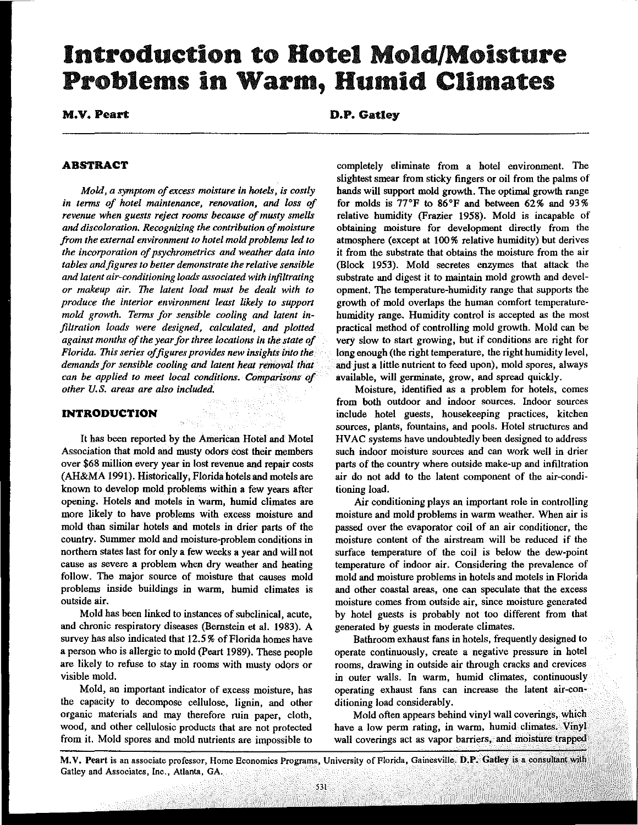# Introduction to Hotel Mold/Moisture Problems in Warm, Humid Climates

M.V. Peart

D.P. Gatley

# **ABSTRACT**

*Mold, a symptom of excess moisture in hotels, is costly in terms of hotel maintenance. renovation. and loss of revenue when guests reject rooms because of musty smells and discoloration. Recognizing the contribution a/moisture from the external environment to hotel mold problems led to the incorporation of psychrometries and weather data into*  tables and figures to better demonstrate the relative sensible *and latent air-conditioning loads associated with infiltrating or makeup air. The latent lond must be dealt with to produce the interior environment least likely to support mold growth. Terms for sensible cooling and latent infiltration loads were designed, calculated, and plotted against months of the year for three locations in the state of Florida. This series offigures provides new insights into the demaads for sensible cooling and latent heat removal that can be applied to meet local conditions. Comparisons of other U.* S. *areas are also included.* 

## **INTRODUCTION**

It has been reported by the American Hotel and Motel Association that mold and musty odors cost their members over \$68 million every year in lost revenue and repair costs (AH&MA 1991). Historically, Florida hotels and motels are known to develop mold problems within a few years after opening. Hotels and motels in warm, humid climates are more likely to have problems with excess moisture and mold than similar hotels and motels in drier parts of the country. Summer mold and moisture-problem conditions in northern states last for only a few weeks a year and will not cause as severe a problem when dry weather and heating follow. The major source of moisture that causes mold problems inside buildings in warm, humid climates is **outside air.** 

18,50

Mold has been linked to instances of subclinical, acute, and chrome respiratory diseases (Bernstein et al. 1983). A survey has also indicated that 12.5 % of Florida homes have a person who is allergic to mold (Peart 1989). These people are likely to refuse to stay in rooms with musty odors or visible mold.

Mold, an important indicator of excess moisture, has the capacity to decompose cellulose, lignin, and other **organic materials and may therefore ruin paper, cloth,**  wood, and other cellulosic products that are not protected from it. Mold spores and mold nutrients are impossible to completely eliminate from a hotel environment. The slightest smear from sticky fingers or oil from the palms of hands will support mold growth. The optimal growth range for molds is  $77^{\circ}$ F to  $86^{\circ}$ F and between  $62\%$  and  $93\%$ relative humidity (Frazier 1958). Mold is incapable of obtaining moisture for development directly from the atmosphere (except at 100% relative humidity) but derives it from the substrate that obtains the moisture from the air (Block 1953). Mold secretes enzymes that attack the substrate and digest it to maintain mold growth and development. The temperature-humidity range that supports the growth of mold overlaps the human comfort temperaturehumidity range. Humidity control is accepted as the most practical method of controlling mold growth. Mold can be very slow to start growing, but if conditions are right for long enough (the right temperature, the right humidity level, and just a little nutrient to feed upon), mold spores, always **available, will germinate, grow, and spread quickly.** 

Moisture, identified as a problem for hotels, comes **from both outdoor and indoor sources. Indoor sources**  include hotel guests, housekeeping practices, kitchen sources, plants, fountains, and pools. Hotel structures and HV AC systems have undoubtedly been designed to address **such indoor moisture sources and can work well in drier**  parts of the country where outside make-up and infiltration air do not add to the latent component of the air-conditioning load.

Air conditioning plays an important role in controlling **moisture and mold problems in warm weather. When air is passed over the evaporator coil of an air conditioner, the**  moisture content of the airstream will be reduced if the **surface temperature of the coil is below the dew-point temperature of indoor air. Considering the prevalence of**  mold and moisture problems in hotels and motels in Florida **and other coastal areas, one can speculate that the excess moisture comes from outside air, since moisture generated**  by hotel guests is probably not too different from that generated by guests in moderate climates.

Bathroom exhaust fans in hotels, frequently designed to operate continuously, create a negative pressure in hotel rooms, drawing in outside air through cracks and crevices **in outer walls. In warm, humid climates, continuously**  operating exhaust fans can increase the latent air-conditioning load considerably.

Mold often appears behind vinyl wall coverings, which have a low perm rating, in warm, humid climates. Vinyl **wall coverings act as vapor barriers, and moisture trapped** 

M.V. Peart is an associate professor, Home Economics Programs, University of Florida, Gainesville. D.P. Gatley is a consultant with **Gatley and Associates, Inc., Atlanta, GA.**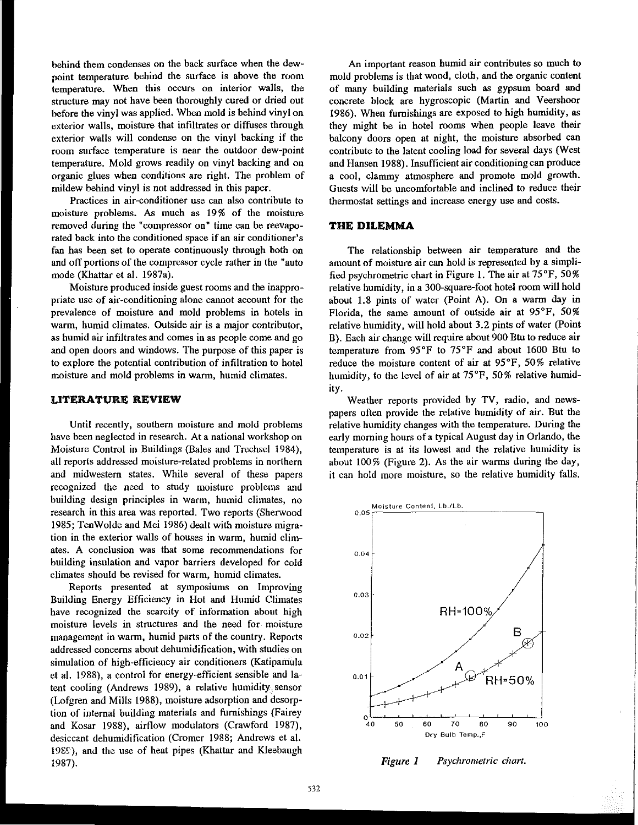behind them condenses on the back surface when the dewpoint temperature behind the surface is above the room temperature. When this occurs on interior walls, the structure may not have been thoroughly cured or dried out before the vinyl was applied. When mold is behind vinyl on exterior walls, moisture that infiltrates or diffuses through exterior walls will condense on the vinyl backing if the room surface temperature is near the outdoor dew-point temperature. Mold grows readily on vinyl backing and on organic glues when conditions are right. The problem of mildew behind vinyl is not addressed in this paper.

Practices in air-conditioner use can also contribute to moisture problems. As much as 19% of the moisture removed during the "compressor on" time can be reevaporated back into the conditioned space if an air conditioner's fan has been set to operate continuously through both on and off portions of the compressor cycle rather in the "auto mode (Khattar et al. 1987a).

Moisture produced inside guest rooms and the inappropriate use of air-conditioning alone cannot account for the prevalence of moisture and mold problems in hotels in warm, humid climates. Outside air is a major contributor, as humid air infiltrates and comes in as people come and go and open doors and windows. The purpose of this paper is to explore the potential contribution of infiltration to hotel moisture and mold problems in warm, humid climates.

#### LITERATURE REVIEW

Until recently, southern moisture and mold problems have been neglected in research. At a national workshop on Moisture Control in Buildings (Bales and Trechsel 1984), all reports addressed moisture-related problems in northern and midwestern states. While several of these papers recognized the need to study moisture problems and building design principles in warm, humid climates, no research in this area was reported. Two reports (Sherwood 1985; TenWolde and Mei 1986) dealt with moisture migration in the exterior walls of houses in warm, humid climates. A conclusion was that some recommendations for building insulation and vapor barriers developed for cold climates should be revised for warm, humid climates.

Reports presented at symposiums on Improving Building Energy Efficiency in Hot and Humid Climates have recognized the scarcity of information about high moisture levels in structures and the need for moisture management in warm, humid parts of the country. Reports addressed concerns about dehumidification, with studies on simulation of high-efficiency air conditioners (Katipamula et al. 1988), a control for energy-efficient sensible and latent cooling (Andrews 1989), a relative humidity sensor (Lofgren and Mills 1988), moisture adsorption and desorption of internal building materials and furnishings (Fairey and Kosar 1988), airflow modulators (Crawford 1987), desiccant dehumidification (Cromer 1988; Andrews et al. 19S5), and the use of heat pipes (Khattar and Kleebaugh 1987).

An important reason humid air contributes so much to mold problems is that wood, cloth, and the organic content of many building materials such as gypsum board and concrete block are hygroscopic (Martin and Veershoor 1986). When furnishings are exposed to high humidity, as they might be in hotel rooms when people leave their balcony doors open at night, the moisture absorbed can contribute to the latent cooling load for several days (West and Hansen 1988). Insufficient air conditioning can produce a cool, clammy atmosphere and promote mold growth. Guests will be uncomfortable and inclined to reduce their thermostat settings and increase energy use and costs.

### THE DILEMMA

The relationship between air temperature and the amount of moisture air can hold is represented by a simplified psychrometric chart in Figure 1. The air at 75°F, 50% relative humidity, in a 300-square-foot hotel room will hold about L8 pints of water (Point A). On a warm day in Florida, the same amount of outside air at 95°F, 50% relative humidity, will hold about 3.2 pints of water (Point B). Each air change will require about 900 Btu to reduce air temperature from 95°F to 75°F and about 1600 Btu to reduce the moisture content of air at 95°F, 50% relative humidity, to the level of air at 75°F, 50% relative humidity.

Weather reports provided by TV, radio, and newspapers often provide the relative humidity of air. But the relative humidity changes with the temperature. During the early morning hours of a typical August day in Orlando, the temperature is at its lowest and the relative humidity is about 100% (Figure 2). As the air wamas during the day, it can hold more moisture, so the relative humidity falls.



*Figure 1 Psychrometric chart.*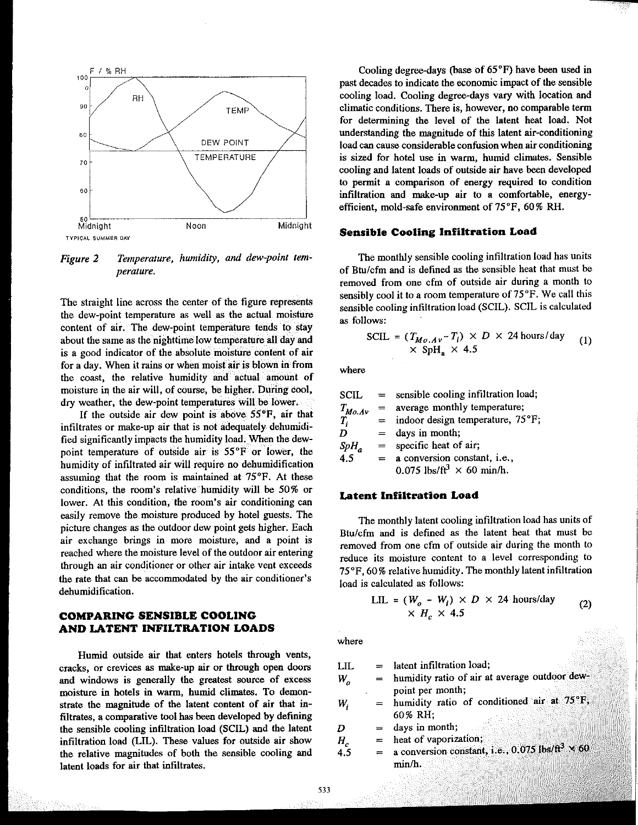

*Figure 2 Temperature, humidity, and dew-point temperature.* 

The straight line across the center of the figure represents the dew-point temperature as well as the actual moisture content of air. The dew-point temperature tends to stay about the same as the nighttime low temperature all day and is a good indicator of the absolute moisture content of air **for a day. When it rains or when moist air is blown in from**  the coast, the relative humidity and actual amount of moisture in the air will, of course, be higher. During cool, dry weather, the dew-point temperatures will be lower.

If the outside air dew point is above 55°F, air that infiltrates or make-up air that is not adequately dehumidified significantly impacts the humidity load. When the dewpoint temperature of outside air is 55°F or lower, the humidity of infiltrated air will require no dehumidification assuming that the room is maintained at 75°F. At these conditions, the room's relative humidity will be 50% or **lower. At this condition, the room's air conditioning can**  easily remove the moisture produced by hotel guests. The picture changes as the outdoor dew point gets higher. Each **air exchange brings in more moisture, and a point is reached where the moisture level of the outdoor air entering through an air conditioner or other air intake vent exceeds**  the rate that can be accommodated by the air conditioner's dehumidification.

# **COMPARING SENSIBLE COOLING AND LATENT INFILTRATION LOADS**

Humid outside air that enters hotels through vents, **cracks, or crevices as make-up air or through open doors**  and windows is generally the greatest source of excess moisture in hotels in warm, humid climates. To demonstrate the magnitude of the latent content of air that infiltrates, a comparative tool has been developed by defining the sensible cooling infiltration load (SCIL) and the latent infiltration load (LIL). These values for outside air show the relative magnitudes of both the sensible cooling and latent loads for air that infiltrates.

Cooling degree-days (hase of 65°F) have been used in past decades to indicate the economic impact of the sensible cooling load. Cooling degree-days vary with location and **climatic conditions. There is, however, no comparable term**  for determining the level of the latent heat load. Not understanding the magnitude of this latent air-conditioning **load can cause considerable confusion when air conditioning**  is sized for hotel use in warm, humid climates. Sensible cooling and latent loads of outside air have been developed **to permit a comparison of energy required to condition**  infiltration and make-up air to a comfortable, energyefficient, mold-safe environment of 75°F, 60% RH.

#### **Sensible Cooling Infiltration Load**

The monthly sensible cooling infiltration load has units of Btu/cfm and is defined as the sensible heat that must be **removed from one cfm of outside air during a month to**  sensibly cool it to a room temperature of  $75^{\circ}$ F. We call this sensible cooling infiltration load (SCIL). SCIL is calculated as follows:

$$
SCH = (T_{Mo.Av} - T_i) \times D \times 24 \text{ hours/day}
$$
  
 
$$
\times SpH_a \times 4.5
$$
 (1)

**where** 

| SCIL        | $=$     | sensible cooling infiltration load;          |
|-------------|---------|----------------------------------------------|
|             | $=$     | average monthly temperature;                 |
| $T_{Mo.Av}$ | $=$ $-$ | indoor design temperature, 75°F;             |
| D           | $=$     | days in month;                               |
| $SpH_a$     | $=$ $-$ | specific heat of air;                        |
| 4.5         | $=$     | a conversion constant, i.e.,                 |
|             |         | 0.075 lbs/ft <sup>3</sup> $\times$ 60 min/h. |

#### **Latent Infiltration Load**

The monthly latent cooling infiltration load has units of Btu/cfm and is defined as the latent heat that must be **removed from one cfm of outside air during the month to reduce its moisture content to a level corresponding to**  75°F, 60 % relative humidity. The monthly latent infiltration load is calculated as follows:

$$
\text{LLL} = (W_o - W_i) \times D \times 24 \text{ hours/day} \tag{2}
$$
\n
$$
\times H_c \times 4.5
$$

**where** 

| LIL          |     | $=$ latent infiltration load;                                      |
|--------------|-----|--------------------------------------------------------------------|
| W,           |     | $=$ humidity ratio of air at average outdoor dew-                  |
|              |     | point per month;                                                   |
| W,           | $=$ | humidity ratio of conditioned air at 75°F,                         |
|              |     | 60% RH:                                                            |
| D            | $=$ | days in month;                                                     |
|              | $=$ | heat of vaporization;                                              |
| $H_c$<br>4.5 |     | a conversion constant, i.e., 0.075 lbs/ft <sup>3</sup> $\times$ 60 |
|              |     | min/h                                                              |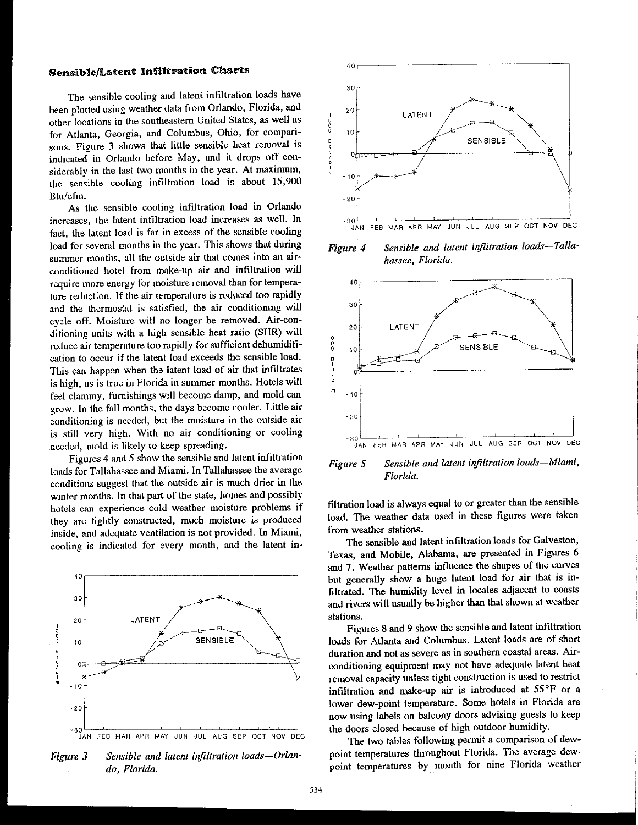# Sensible/Latent Infiltration Charts

The sensible cooling and latent infiltration loads have been plotted using weather data from Orlando, Florida, and other locations in the southeastern United States, as well as for Atlanta, Georgia, and Columbus, Ohio, for comparisons. Figure 3 shows that little sensible heat removal is indicated in Orlando before May, and it drops off considerably in the last two months in the year. At maximum, the sensible cooling infiltration load is about 15,900 Btu/cfm.

As the sensible cooling infiltration load in Orlando increases, the latent infiltration load increases as well. In fact, the latent load is far in excess of the sensible cooling load for several months in the year. This shows that during summer months, all the outside air that comes into an airconditioned hotel from make-up air and infiltration will require more energy for moisture removal than for temperature reduction. If the air temperature is reduced too rapidly and the thermostat is satisfied, the air conditioning will cycle off. Moisture will no longer be removed. Air-conditioning units with a high sensible heat ratio (SHR) will reduce air temperature too rapidly for sufficient dehumidification to occur if the latent load exceeds the sensible load. This can happen when the latent load of air that infiltrates is high, as is true in Florida in summer months. Hotels will feel clammy, furnishings will become damp, and mold can grow. In the fall months, the days become cooler. Little air conditioning is needed, but the moisture in the outside air is still very high. With no air conditioning or cooling .needed, mold is likely to keep spreading.

Figures 4 and 5 show the sensible and latent infiltration loads for Tallahassee and Miami. In Tallahassee the average conditions suggest that the outside air is much drier in the winter months. In that part of the state, homes and possibly hotels can experience cold weather moisture problems if they are tightly constructed, much moisture is produced inside, and adequate ventilation is not provided. In Miami, cooling is indicated for every month, and the latent in-



Figure 3 Sensible and latent infiltration loads—Orlan*do, Florida.* 



*Figure 4 Sensible and latent infiitration loads-Tal/ahassee, Florida.* 



*Figure 5 Sensible and latent infiltration loads-Miami, Florida.* 

filtration load is always equal to or greater than the sensible load. The weather data used in these figures were taken from weather stations.

The sensible and latent infiltration loads for Galveston, Texas, and Mobile, Alabama, are presented in Figures 6 and 7. Weather patterns influence the shapes of the curves but generally show a huge latent load for air that is infiltrated. The humidity level in locales adjacent to coasts and rivers will usually be higher than that shown at weather stations.

Figures 8 and 9 show the sensible and latent inftltration loads for Atlanta and Columbus. Latent loads are of short duration and not as severe as in southern coastal areas. Airconditioning equipment may not have adequate latent heat removal capacity unless tight construction is used to restrict infiltration and make-up air is introduced at 55°F or a lower dew-point temperature. Some hotels in Florida are now using labels on balcony doors advising guests to keep the doors closed because of high outdoor humidity.

The two tables following permit a comparison of dewpoint temperatures throughout Florida. The average dewpoint temperatures by month for nine Florida weather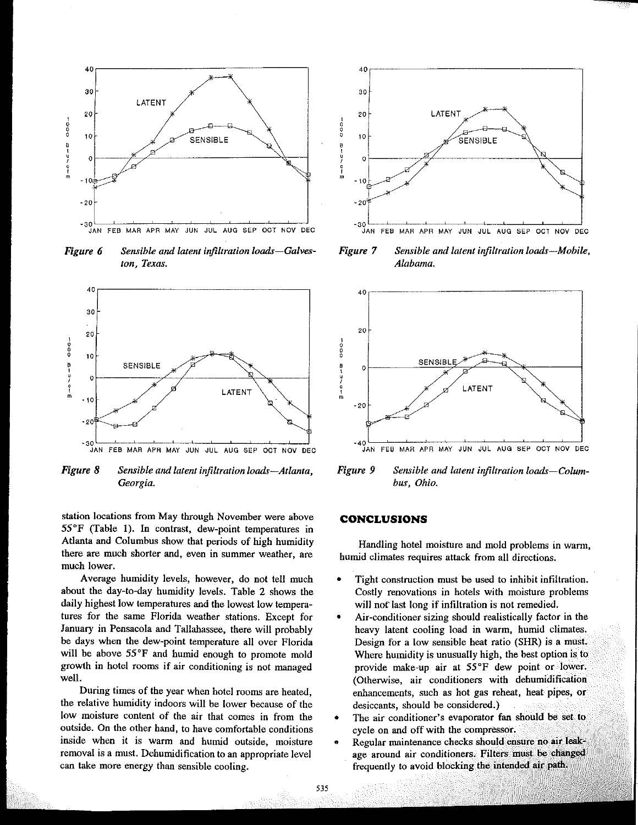

*Figure 6 Sensible and latent infiltration loads-Galveston, Texas.* 



*Figure 8 Sensible and latent infiltration loads-Atlanta, Georgia.* 

station locations from May through November were above 55°F (Table I). In contrast, dew-point temperatures in Atlanta and Columbus show that periods of high humidity there are much shorter and, even in summer weather, are much lower.

Average humidity levels, however, do not tell much about the day-to-day humidity levels. Table 2 shows the daily highest low temperatures and the lowest low temperatures for the same Florida weather stations. Except for January in Pensacola and Tallahassee, there will probably be days when the dew-point temperature all over Florida will be above  $55^{\circ}$ F and humid enough to promote mold growth in botel rooms if air conditioning is not managed well.

During times of the year when hotel rooms are heated, the relative humidity indoors will be lower because of the low moisture content of the air that comes in from the outside. On the other hand, to have comfortable conditions inside when it is warm and humid outside, moisture removal is a must. Dehumidification to an appropriate level can take more energy than sensible cooling.



*Figure 7 Sensible and latent infiltration loads-Mobile, Alabama.* 



*Figure 9 Sensible and latent infiltration loads-Columbus, Ohio.* 

#### CONCLUSIONS

Handling hotel moisture and mold problems in warm, humid climates requires attack from all directions.

- Tight construction must be used to inhibit infiltration. Costly renovations in hotels with moisture problems will not last long if infiltration is not remedied.
- Air-conditioner sizing should realistically factor in the heavy latent cooling load in warm, humid climates. Design for a low sensible heat ratio (SHR) is a must. Where humidity is unusually high, the best option is to provide make-up air at 55°F dew point or lower. (Otherwise, air conditioners with dehumidification enhancements, such as hot gas reheat, heat pipes, or desiccants, should be considered.)
- The air conditioner's evaporator fan should be set to cycle on and off with the compressor.
- Regular maintenance checks should ensure no air leakage around air conditioners. Filters must be changed frequently to avoid blocking the intended air path.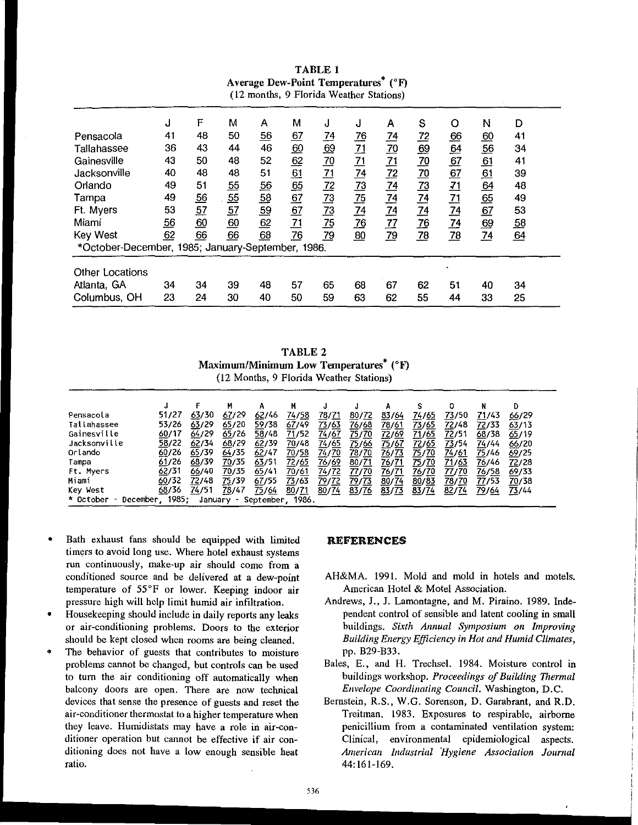| (12 months, 9 Florida Weather Stations)           |                  |                  |                |                  |                  |                  |                  |                 |                  |                  |                  |                  |  |
|---------------------------------------------------|------------------|------------------|----------------|------------------|------------------|------------------|------------------|-----------------|------------------|------------------|------------------|------------------|--|
|                                                   | J                | F                | М              | Α                | M                | J                | J                | Α               | S                | O                | Ν                | D                |  |
| Pensacola                                         | 41               | 48               | 50             | $\frac{56}{5}$   | 67               | $\frac{74}{5}$   | <u>76</u>        | $\overline{14}$ | <u>72</u>        | $\underline{66}$ | $\underline{60}$ | 41               |  |
| Tallahassee                                       | 36               | 43               | 44             | 46               | <u>60</u>        | <u>69</u>        | $\overline{21}$  | $\overline{20}$ | $\underline{69}$ | $\underline{64}$ | $\underline{56}$ | 34               |  |
| Gainesville                                       | 43               | 50               | 48             | 52               | $\underline{62}$ | $\underline{70}$ |                  | $\frac{71}{2}$  | $\overline{20}$  | $\underline{67}$ | $\underline{61}$ | 41               |  |
| Jacksonville                                      | 40               | 48               | 48             | 51               | $\frac{61}{65}$  | 71               | $\frac{71}{74}$  | $\frac{72}{2}$  | $\overline{20}$  | 67               | 61               | 39               |  |
| Orlando                                           | 49               | 51               | $\frac{55}{2}$ | <u>56</u>        |                  | $\frac{72}{2}$   | $\overline{73}$  | $\frac{74}{1}$  | 73               | <u>71</u>        | 64               | 48               |  |
| Tampa                                             | 49               | $\underline{56}$ | 55             | 58               | 67               | $\overline{23}$  | $\frac{75}{2}$   | $\frac{74}{1}$  | $\frac{74}{1}$   | $\frac{71}{74}$  | $\underline{65}$ | 49               |  |
| Ft. Myers                                         | 53               | $\overline{57}$  | 57             | <u>59</u>        | 67               | $\overline{13}$  | $\frac{74}{1}$   | $\frac{74}{1}$  | $\overline{74}$  |                  | 67               | 53               |  |
| Miami                                             | $\underline{56}$ | <u>60</u>        | 60             | 62               | $\overline{71}$  | $\frac{75}{2}$   | $\underline{76}$ | 77              | <u>76</u>        | $\overline{74}$  | <u>69</u>        | $\underline{58}$ |  |
| <b>Key West</b>                                   | 62               | 66               | 66             | $\underline{68}$ | <u>76</u>        | 79               | $\underline{80}$ | $\overline{79}$ | $\overline{28}$  | $\overline{28}$  | $\frac{74}{1}$   | $\underline{64}$ |  |
| *October-December, 1985; January-September, 1986. |                  |                  |                |                  |                  |                  |                  |                 |                  |                  |                  |                  |  |
| <b>Other Locations</b>                            |                  |                  |                |                  |                  |                  |                  |                 |                  |                  |                  |                  |  |
| Atlanta, GA                                       | 34               | 34               | 39             | 48               | 57               | 65               | 68               | 67              | 62               | 51               | 40               | 34               |  |
| Columbus, OH                                      | 23               | 24               | 30             | 40               | 50               | 59               | 63               | 62              | 55               | 44               | 33               | 25               |  |

TABLE 1 Average Dew-Point Temperatures<sup>\*</sup>  $(^{\circ}F)$ 

TABLE 2 Maximum/Minimum Low Temperatures<sup>\*</sup> ( $\mathrm{F}$ ) (12 Months, 9 Florida Weather Stations)

|                                                                                               |       |       | м     |       |       |       |              |              |       | O             | N     | Ð     |  |
|-----------------------------------------------------------------------------------------------|-------|-------|-------|-------|-------|-------|--------------|--------------|-------|---------------|-------|-------|--|
| Pensacola                                                                                     | 51/27 | 63/30 | 67/29 | 62/46 | 74/58 | 78/71 | 80/72        | 83/64        | 74/65 | 73/50         | 71/43 | 66/29 |  |
| Tallahassee                                                                                   | 53/26 | 63/29 | 65/20 | 59/38 | 67/49 | 73/63 | <u>76/68</u> | 78/61        | 73/65 | <u>72</u> /48 | 72/33 | 63/13 |  |
| Gainesville                                                                                   | 60/17 | 64729 | 65/26 | 58/48 | 71/52 | 74/67 | <u>75/70</u> | 72/69        | 71/65 | 72/51         | 68/38 | 65/19 |  |
| Jacksonville                                                                                  | 58/22 | 62/34 | 68/29 | 62/39 | 70/48 | 74/65 | <u>75/66</u> | <u>75/67</u> | 72/65 | 73/54         | 74744 | 66/20 |  |
| Orlando                                                                                       | 60/26 | 65/39 | 64/35 | 62/47 | 70/58 | 74/70 | 78/70        | 76/73        | 75/70 | 74/61         | 75/46 | 69/25 |  |
| Tampa                                                                                         | 61/26 | 68/39 | 70/35 | 63/51 | 72/65 | 76/69 | 80/71        | 76/71        | 75/70 | 71/63         | 76/46 | 72/28 |  |
| Ft. Myers                                                                                     | 62/31 | 66/40 | 70/35 | 65/41 | 70/61 | 74/72 | 77/70        | 76/71        | 76/70 | 77/70         | 76/58 | 69/33 |  |
| Miami                                                                                         | 60/32 | 72/48 | 75/39 | 67/55 | 73/63 | 79/72 | <u>79/73</u> | 80/74        | 80/83 | 78/70         | 77/53 | 70/38 |  |
| Key West                                                                                      | 68/36 | 74/51 | 78/47 | 75/64 | 80/71 | 80/74 | 83/76        | 83/73        | 83/74 | 82/74         | 79/64 | 73/44 |  |
| 1985 ·<br>* October<br>1986.<br>September.<br>December<br>January<br>$\overline{\phantom{a}}$ |       |       |       |       |       |       |              |              |       |               |       |       |  |

- Bath exhaust fans should be equipped with limited **timers to avoid long use. Where hotel exhaust systems run continuously, make-up air should come from a conditioned source and be delivered at a dew-point temperature of 55°F or lower. Keeping indoor air**  pressure high will help limit humid air infiltration.
- Housekeeping should include in daily reports any leaks **Of air-conditioning problems. Doors to the exterior**  should be kept closed when rooms are being cleaned.
- **The behavior of guests that contributes to moisture**  problems cannot be changed, but controls can be used to tum the air conditioning off automatically when **balcony doors are open. There are now technical devices that sense the presence of guests and reset the air-conditioner thermostat to a higher temperature when they leave. Humidistats may have a role in air-con**ditioner operation but cannot be effective if air conditioning does not have a low enough sensible heat **ratio.**

#### REFERENCES

- AH&MA. 1991. Mold and mold in hotels and motels. American Hotel & Motel Association.
- Andrews, J., J. Lamontagne, and M. Piraino. 1989. Independent control of sensible and latent cooling in small buildings. *Sixth Annual Symposium on Improving Building Energy Efficiency in Hot and Humid Climates,*  pp. B29-B33.
- Bales, E., and H. Trechsel. 1984. Moisture control in buildings workshop. *Proceedings of Building Thermal Envelope Coordinating Council.* **Washington, D.C.**
- **Bernstein, R.S., W.G. Sorenson, D. Garabrant, and R.D.**  Treitman. 1983. Exposures to respirable, airborne **penicillium from a contaminated ventilation system: Clinical, environmental epidemiological aspects.**  *An"lerican Industrial 'Hygiene Association Journal*  44:161-169.